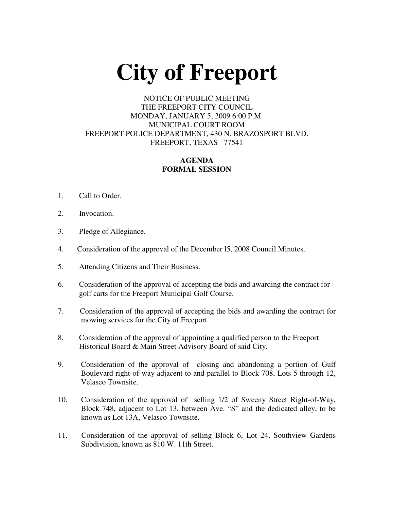# **City of Freeport**

## NOTICE OF PUBLIC MEETING THE FREEPORT CITY COUNCIL MONDAY, JANUARY 5, 2009 6:00 P.M. MUNICIPAL COURT ROOM FREEPORT POLICE DEPARTMENT, 430 N. BRAZOSPORT BLVD. FREEPORT, TEXAS 77541

## **AGENDA FORMAL SESSION**

- 1. Call to Order.
- 2. Invocation.
- 3. Pledge of Allegiance.
- 4. Consideration of the approval of the December l5, 2008 Council Minutes.
- 5. Attending Citizens and Their Business.
- 6. Consideration of the approval of accepting the bids and awarding the contract for golf carts for the Freeport Municipal Golf Course.
- 7. Consideration of the approval of accepting the bids and awarding the contract for mowing services for the City of Freeport.
- 8. Consideration of the approval of appointing a qualified person to the Freeport Historical Board & Main Street Advisory Board of said City.
- 9. Consideration of the approval of closing and abandoning a portion of Gulf Boulevard right-of-way adjacent to and parallel to Block 708, Lots 5 through 12, Velasco Townsite.
- 10. Consideration of the approval of selling 1/2 of Sweeny Street Right-of-Way, Block 748, adjacent to Lot 13, between Ave. "S" and the dedicated alley, to be known as Lot 13A, Velasco Townsite.
- 11. Consideration of the approval of selling Block 6, Lot 24, Southview Gardens Subdivision, known as 810 W. 11th Street.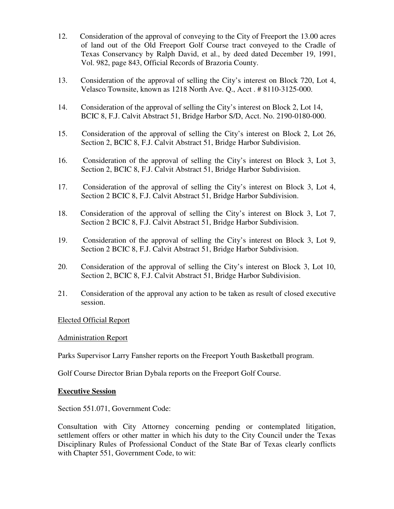- 12. Consideration of the approval of conveying to the City of Freeport the 13.00 acres of land out of the Old Freeport Golf Course tract conveyed to the Cradle of Texas Conservancy by Ralph David, et al., by deed dated December 19, 1991, Vol. 982, page 843, Official Records of Brazoria County.
- 13. Consideration of the approval of selling the City's interest on Block 720, Lot 4, Velasco Townsite, known as 1218 North Ave. Q., Acct . # 8110-3125-000.
- 14. Consideration of the approval of selling the City's interest on Block 2, Lot 14, BCIC 8, F.J. Calvit Abstract 51, Bridge Harbor S/D, Acct. No. 2190-0180-000.
- 15. Consideration of the approval of selling the City's interest on Block 2, Lot 26, Section 2, BCIC 8, F.J. Calvit Abstract 51, Bridge Harbor Subdivision.
- 16. Consideration of the approval of selling the City's interest on Block 3, Lot 3, Section 2, BCIC 8, F.J. Calvit Abstract 51, Bridge Harbor Subdivision.
- 17. Consideration of the approval of selling the City's interest on Block 3, Lot 4, Section 2 BCIC 8, F.J. Calvit Abstract 51, Bridge Harbor Subdivision.
- 18. Consideration of the approval of selling the City's interest on Block 3, Lot 7, Section 2 BCIC 8, F.J. Calvit Abstract 51, Bridge Harbor Subdivision.
- 19. Consideration of the approval of selling the City's interest on Block 3, Lot 9, Section 2 BCIC 8, F.J. Calvit Abstract 51, Bridge Harbor Subdivision.
- 20. Consideration of the approval of selling the City's interest on Block 3, Lot 10, Section 2, BCIC 8, F.J. Calvit Abstract 51, Bridge Harbor Subdivision.
- 21. Consideration of the approval any action to be taken as result of closed executive session.

### Elected Official Report

### Administration Report

Parks Supervisor Larry Fansher reports on the Freeport Youth Basketball program.

Golf Course Director Brian Dybala reports on the Freeport Golf Course.

### **Executive Session**

Section 551.071, Government Code:

Consultation with City Attorney concerning pending or contemplated litigation, settlement offers or other matter in which his duty to the City Council under the Texas Disciplinary Rules of Professional Conduct of the State Bar of Texas clearly conflicts with Chapter 551, Government Code, to wit: